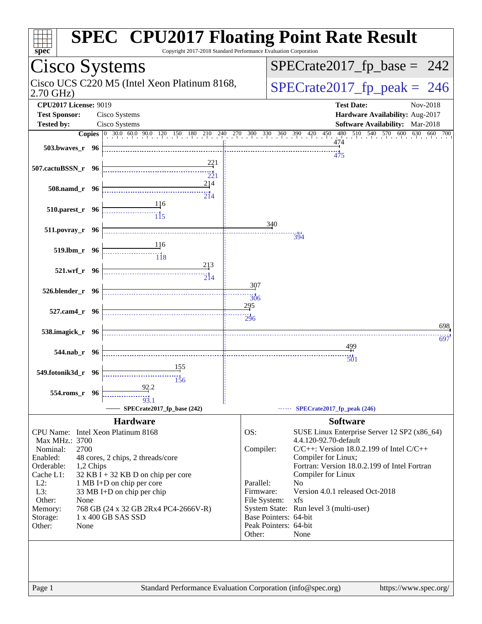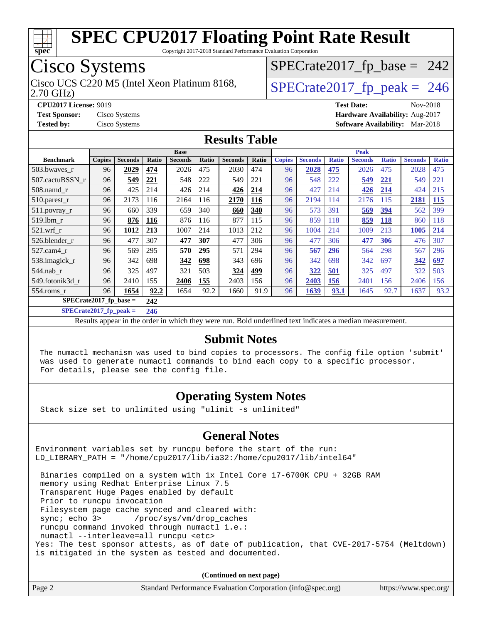

Copyright 2017-2018 Standard Performance Evaluation Corporation

## Cisco Systems

2.70 GHz) Cisco UCS C220 M5 (Intel Xeon Platinum 8168,  $\vert$ [SPECrate2017\\_fp\\_peak =](http://www.spec.org/auto/cpu2017/Docs/result-fields.html#SPECrate2017fppeak) 246

 $SPECTate2017_fp\_base = 242$ 

**[CPU2017 License:](http://www.spec.org/auto/cpu2017/Docs/result-fields.html#CPU2017License)** 9019 **[Test Date:](http://www.spec.org/auto/cpu2017/Docs/result-fields.html#TestDate)** Nov-2018 **[Test Sponsor:](http://www.spec.org/auto/cpu2017/Docs/result-fields.html#TestSponsor)** Cisco Systems **[Hardware Availability:](http://www.spec.org/auto/cpu2017/Docs/result-fields.html#HardwareAvailability)** Aug-2017 **[Tested by:](http://www.spec.org/auto/cpu2017/Docs/result-fields.html#Testedby)** Cisco Systems **[Software Availability:](http://www.spec.org/auto/cpu2017/Docs/result-fields.html#SoftwareAvailability)** Mar-2018

#### **[Results Table](http://www.spec.org/auto/cpu2017/Docs/result-fields.html#ResultsTable)**

|                          | <b>Base</b>   |                |       |                | <b>Peak</b> |                |       |               |                |              |                |              |                |              |
|--------------------------|---------------|----------------|-------|----------------|-------------|----------------|-------|---------------|----------------|--------------|----------------|--------------|----------------|--------------|
| <b>Benchmark</b>         | <b>Copies</b> | <b>Seconds</b> | Ratio | <b>Seconds</b> | Ratio       | <b>Seconds</b> | Ratio | <b>Copies</b> | <b>Seconds</b> | <b>Ratio</b> | <b>Seconds</b> | <b>Ratio</b> | <b>Seconds</b> | <b>Ratio</b> |
| 503.bwaves_r             | 96            | 2029           | 474   | 2026           | 475         | 2030           | 474   | 96            | 2028           | 475          | 2026           | 475          | 2028           | 475          |
| 507.cactuBSSN r          | 96            | 549            | 221   | 548            | 222         | 549            | 221   | 96            | 548            | 222          | 549            | 221          | 549            | 221          |
| $508$ .namd $r$          | 96            | 425            | 214   | 426            | 214         | 426            | 214   | 96            | 427            | 214          | 426            | 214          | 424            | 215          |
| $510.parest_r$           | 96            | 2173           | 116   | 2164           | 116         | 2170           | 116   | 96            | 2194           | 114          | 2176           | 115          | 2181           | <u>115</u>   |
| 511.povray_r             | 96            | 660            | 339   | 659            | 340         | 660            | 340   | 96            | 573            | 391          | 569            | 394          | 562            | 399          |
| 519.lbm r                | 96            | 876            | 116   | 876            | 116         | 877            | 115   | 96            | 859            | 118          | 859            | <b>118</b>   | 860            | 118          |
| $521$ .wrf r             | 96            | 1012           | 213   | 1007           | 214         | 1013           | 212   | 96            | 1004           | 214          | 1009           | 213          | 1005           | 214          |
| 526.blender r            | 96            | 477            | 307   | 477            | 307         | 477            | 306   | 96            | 477            | 306          | 477            | 306          | 476            | 307          |
| 527.cam4 r               | 96            | 569            | 295   | 570            | 295         | 571            | 294   | 96            | 567            | <u>296</u>   | 564            | 298          | 567            | 296          |
| 538.imagick_r            | 96            | 342            | 698   | 342            | 698         | 343            | 696   | 96            | 342            | 698          | 342            | 697          | 342            | <u>697</u>   |
| $544$ .nab r             | 96            | 325            | 497   | 321            | 503         | 324            | 499   | 96            | 322            | 501          | 325            | 497          | 322            | 503          |
| 549.fotonik3d r          | 96            | 2410           | 155   | 2406           | 155         | 2403           | 156   | 96            | 2403           | <u>156</u>   | 2401           | 156          | 2406           | 156          |
| $554$ .roms r            | 96            | 1654           | 92.2  | 1654           | 92.2        | 1660           | 91.9  | 96            | 1639           | 93.1         | 1645           | 92.7         | 1637           | 93.2         |
| $SPECrate2017$ fp base = |               | 242            |       |                |             |                |       |               |                |              |                |              |                |              |

**[SPECrate2017\\_fp\\_peak =](http://www.spec.org/auto/cpu2017/Docs/result-fields.html#SPECrate2017fppeak) 246**

Results appear in the [order in which they were run.](http://www.spec.org/auto/cpu2017/Docs/result-fields.html#RunOrder) Bold underlined text [indicates a median measurement.](http://www.spec.org/auto/cpu2017/Docs/result-fields.html#Median)

#### **[Submit Notes](http://www.spec.org/auto/cpu2017/Docs/result-fields.html#SubmitNotes)**

 The numactl mechanism was used to bind copies to processors. The config file option 'submit' was used to generate numactl commands to bind each copy to a specific processor. For details, please see the config file.

#### **[Operating System Notes](http://www.spec.org/auto/cpu2017/Docs/result-fields.html#OperatingSystemNotes)**

Stack size set to unlimited using "ulimit -s unlimited"

#### **[General Notes](http://www.spec.org/auto/cpu2017/Docs/result-fields.html#GeneralNotes)**

Environment variables set by runcpu before the start of the run: LD\_LIBRARY\_PATH = "/home/cpu2017/lib/ia32:/home/cpu2017/lib/intel64"

 Binaries compiled on a system with 1x Intel Core i7-6700K CPU + 32GB RAM memory using Redhat Enterprise Linux 7.5 Transparent Huge Pages enabled by default Prior to runcpu invocation Filesystem page cache synced and cleared with: sync; echo 3> /proc/sys/vm/drop\_caches runcpu command invoked through numactl i.e.: numactl --interleave=all runcpu <etc> Yes: The test sponsor attests, as of date of publication, that CVE-2017-5754 (Meltdown) is mitigated in the system as tested and documented.

**(Continued on next page)**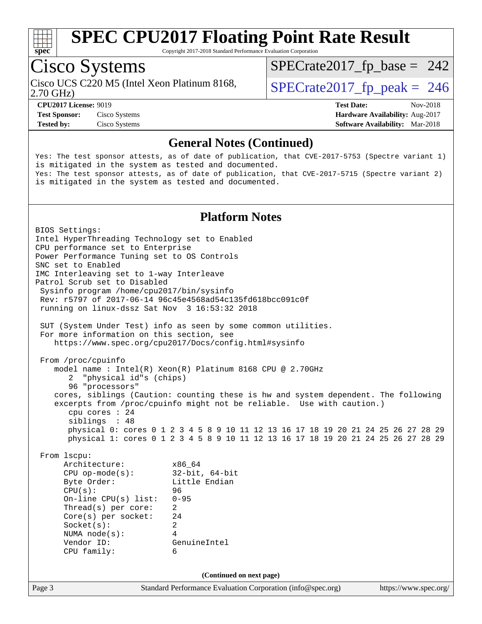

Copyright 2017-2018 Standard Performance Evaluation Corporation

## Cisco Systems

Cisco UCS C220 M5 (Intel Xeon Platinum 8168,  $\vert$ [SPECrate2017\\_fp\\_peak =](http://www.spec.org/auto/cpu2017/Docs/result-fields.html#SPECrate2017fppeak) 246

 $SPECTate2017_fp\_base = 242$ 

2.70 GHz)

**[Tested by:](http://www.spec.org/auto/cpu2017/Docs/result-fields.html#Testedby)** Cisco Systems **[Software Availability:](http://www.spec.org/auto/cpu2017/Docs/result-fields.html#SoftwareAvailability)** Mar-2018

**[CPU2017 License:](http://www.spec.org/auto/cpu2017/Docs/result-fields.html#CPU2017License)** 9019 **[Test Date:](http://www.spec.org/auto/cpu2017/Docs/result-fields.html#TestDate)** Nov-2018 **[Test Sponsor:](http://www.spec.org/auto/cpu2017/Docs/result-fields.html#TestSponsor)** Cisco Systems **[Hardware Availability:](http://www.spec.org/auto/cpu2017/Docs/result-fields.html#HardwareAvailability)** Aug-2017

#### **[General Notes \(Continued\)](http://www.spec.org/auto/cpu2017/Docs/result-fields.html#GeneralNotes)**

Yes: The test sponsor attests, as of date of publication, that CVE-2017-5753 (Spectre variant 1) is mitigated in the system as tested and documented. Yes: The test sponsor attests, as of date of publication, that CVE-2017-5715 (Spectre variant 2) is mitigated in the system as tested and documented.

#### **[Platform Notes](http://www.spec.org/auto/cpu2017/Docs/result-fields.html#PlatformNotes)**

Page 3 Standard Performance Evaluation Corporation [\(info@spec.org\)](mailto:info@spec.org) <https://www.spec.org/> BIOS Settings: Intel HyperThreading Technology set to Enabled CPU performance set to Enterprise Power Performance Tuning set to OS Controls SNC set to Enabled IMC Interleaving set to 1-way Interleave Patrol Scrub set to Disabled Sysinfo program /home/cpu2017/bin/sysinfo Rev: r5797 of 2017-06-14 96c45e4568ad54c135fd618bcc091c0f running on linux-dssz Sat Nov 3 16:53:32 2018 SUT (System Under Test) info as seen by some common utilities. For more information on this section, see <https://www.spec.org/cpu2017/Docs/config.html#sysinfo> From /proc/cpuinfo model name : Intel(R) Xeon(R) Platinum 8168 CPU @ 2.70GHz 2 "physical id"s (chips) 96 "processors" cores, siblings (Caution: counting these is hw and system dependent. The following excerpts from /proc/cpuinfo might not be reliable. Use with caution.) cpu cores : 24 siblings : 48 physical 0: cores 0 1 2 3 4 5 8 9 10 11 12 13 16 17 18 19 20 21 24 25 26 27 28 29 physical 1: cores 0 1 2 3 4 5 8 9 10 11 12 13 16 17 18 19 20 21 24 25 26 27 28 29 From lscpu: Architecture: x86\_64 CPU op-mode(s): 32-bit, 64-bit Byte Order: Little Endian CPU(s): 96 On-line CPU(s) list: 0-95 Thread(s) per core: 2 Core(s) per socket: 24 Socket(s): 2 NUMA node(s): 4 Vendor ID: GenuineIntel CPU family: 6 **(Continued on next page)**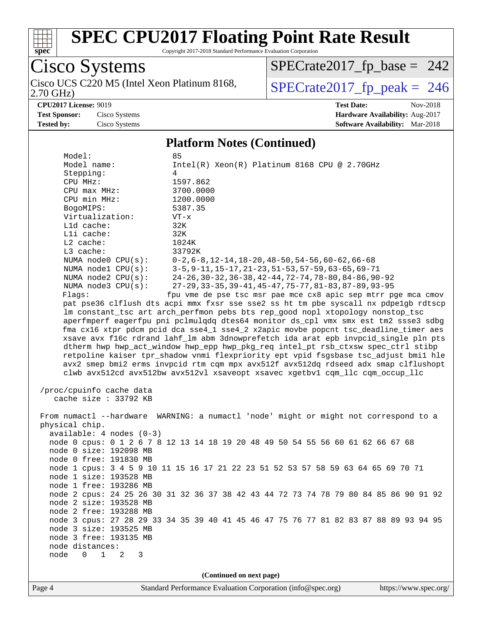

Copyright 2017-2018 Standard Performance Evaluation Corporation

Cisco Systems<br>Cisco UCS C220 M5 (Intel Xeon Platinum 8168, 2.70 GHz)

 $SPECTate 2017_fp\_peak = 246$ [SPECrate2017\\_fp\\_base =](http://www.spec.org/auto/cpu2017/Docs/result-fields.html#SPECrate2017fpbase) 242

**[Tested by:](http://www.spec.org/auto/cpu2017/Docs/result-fields.html#Testedby)** Cisco Systems **[Software Availability:](http://www.spec.org/auto/cpu2017/Docs/result-fields.html#SoftwareAvailability)** Mar-2018

**[CPU2017 License:](http://www.spec.org/auto/cpu2017/Docs/result-fields.html#CPU2017License)** 9019 **[Test Date:](http://www.spec.org/auto/cpu2017/Docs/result-fields.html#TestDate)** Nov-2018 **[Test Sponsor:](http://www.spec.org/auto/cpu2017/Docs/result-fields.html#TestSponsor)** Cisco Systems **[Hardware Availability:](http://www.spec.org/auto/cpu2017/Docs/result-fields.html#HardwareAvailability)** Aug-2017

#### **[Platform Notes \(Continued\)](http://www.spec.org/auto/cpu2017/Docs/result-fields.html#PlatformNotes)**

| Model:                     | 85                                                                                   |
|----------------------------|--------------------------------------------------------------------------------------|
| Model name:                | $Intel(R) Xeon(R) Platinum 8168 CPU @ 2.70GHz$                                       |
| Stepping:                  | 4                                                                                    |
| CPU MHz:                   | 1597.862                                                                             |
| CPU max MHz:               | 3700.0000                                                                            |
| CPU min MHz:               | 1200.0000                                                                            |
| BogoMIPS:                  | 5387.35                                                                              |
| Virtualization:            | $VT - x$                                                                             |
| Lld cache:                 | 32K                                                                                  |
| Lli cache:                 | 32K                                                                                  |
| $L2$ cache:                | 1024K                                                                                |
| L3 cache:                  | 33792K                                                                               |
| NUMA node0 CPU(s):         | $0-2, 6-8, 12-14, 18-20, 48-50, 54-56, 60-62, 66-68$                                 |
| NUMA nodel CPU(s):         | $3-5, 9-11, 15-17, 21-23, 51-53, 57-59, 63-65, 69-71$                                |
| NUMA node2 CPU(s):         | 24-26, 30-32, 36-38, 42-44, 72-74, 78-80, 84-86, 90-92                               |
| NUMA node3 CPU(s):         | 27-29, 33-35, 39-41, 45-47, 75-77, 81-83, 87-89, 93-95                               |
| Flags:                     | fpu vme de pse tsc msr pae mce cx8 apic sep mtrr pge mca cmov                        |
|                            | pat pse36 clflush dts acpi mmx fxsr sse sse2 ss ht tm pbe syscall nx pdpelgb rdtscp  |
|                            | lm constant_tsc art arch_perfmon pebs bts rep_good nopl xtopology nonstop_tsc        |
|                            | aperfmperf eagerfpu pni pclmulqdq dtes64 monitor ds_cpl vmx smx est tm2 ssse3 sdbg   |
|                            | fma cx16 xtpr pdcm pcid dca sse4_1 sse4_2 x2apic movbe popcnt tsc_deadline_timer aes |
|                            | xsave avx f16c rdrand lahf_lm abm 3dnowprefetch ida arat epb invpcid_single pln pts  |
|                            | dtherm hwp hwp_act_window hwp_epp hwp_pkg_req intel_pt rsb_ctxsw spec_ctrl stibp     |
|                            | retpoline kaiser tpr_shadow vnmi flexpriority ept vpid fsgsbase tsc_adjust bmil hle  |
|                            | avx2 smep bmi2 erms invpcid rtm cqm mpx avx512f avx512dq rdseed adx smap clflushopt  |
|                            | clwb avx512cd avx512bw avx512vl xsaveopt xsavec xgetbvl cqm_llc cqm_occup_llc        |
|                            |                                                                                      |
| /proc/cpuinfo cache data   |                                                                                      |
| cache size : 33792 KB      |                                                                                      |
|                            |                                                                                      |
|                            |                                                                                      |
|                            | From numactl --hardware WARNING: a numactl 'node' might or might not correspond to a |
| physical chip.             |                                                                                      |
| $available: 4 nodes (0-3)$ |                                                                                      |
|                            | node 0 cpus: 0 1 2 6 7 8 12 13 14 18 19 20 48 49 50 54 55 56 60 61 62 66 67 68       |
| node 0 size: 192098 MB     |                                                                                      |
| node 0 free: 191830 MB     |                                                                                      |
|                            | node 1 cpus: 3 4 5 9 10 11 15 16 17 21 22 23 51 52 53 57 58 59 63 64 65 69 70 71     |
| node 1 size: 193528 MB     |                                                                                      |
| node 1 free: 193286 MB     |                                                                                      |
|                            | node 2 cpus: 24 25 26 30 31 32 36 37 38 42 43 44 72 73 74 78 79 80 84 85 86 90 91 92 |
| node 2 size: 193528 MB     |                                                                                      |
| node 2 free: 193288 MB     |                                                                                      |
|                            | node 3 cpus: 27 28 29 33 34 35 39 40 41 45 46 47 75 76 77 81 82 83 87 88 89 93 94 95 |
| node 3 size: 193525 MB     |                                                                                      |
| node 3 free: 193135 MB     |                                                                                      |
| node distances:            |                                                                                      |
| node 0 1 2 3               |                                                                                      |

**(Continued on next page)**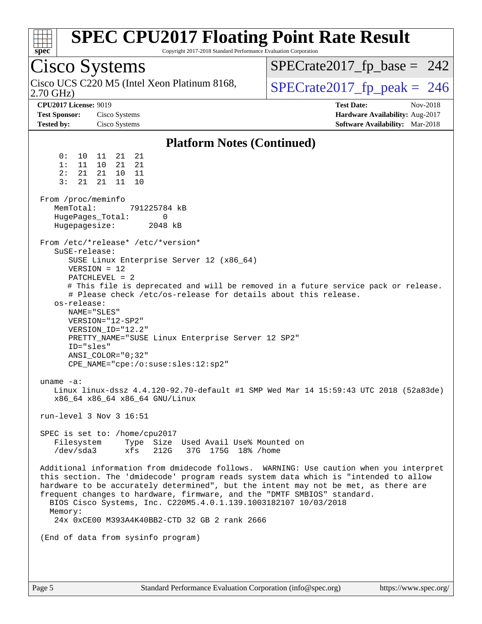| $spec^*$ |  |
|----------|--|
|          |  |

Copyright 2017-2018 Standard Performance Evaluation Corporation

## Cisco Systems

2.70 GHz) Cisco UCS C220 M5 (Intel Xeon Platinum 8168,  $\vert$ [SPECrate2017\\_fp\\_peak =](http://www.spec.org/auto/cpu2017/Docs/result-fields.html#SPECrate2017fppeak) 246

 $SPECTate2017_fp\_base = 242$ 

**[CPU2017 License:](http://www.spec.org/auto/cpu2017/Docs/result-fields.html#CPU2017License)** 9019 **[Test Date:](http://www.spec.org/auto/cpu2017/Docs/result-fields.html#TestDate)** Nov-2018 **[Test Sponsor:](http://www.spec.org/auto/cpu2017/Docs/result-fields.html#TestSponsor)** Cisco Systems **Cisco Systems [Hardware Availability:](http://www.spec.org/auto/cpu2017/Docs/result-fields.html#HardwareAvailability)** Aug-2017 **[Tested by:](http://www.spec.org/auto/cpu2017/Docs/result-fields.html#Testedby)** Cisco Systems **[Software Availability:](http://www.spec.org/auto/cpu2017/Docs/result-fields.html#SoftwareAvailability)** Mar-2018

#### **[Platform Notes \(Continued\)](http://www.spec.org/auto/cpu2017/Docs/result-fields.html#PlatformNotes)**

 0: 10 11 21 21 1: 11 10 21 21 2: 21 21 10 11 3: 21 21 11 10 From /proc/meminfo MemTotal: 791225784 kB HugePages\_Total: 0 Hugepagesize: 2048 kB From /etc/\*release\* /etc/\*version\* SuSE-release: SUSE Linux Enterprise Server 12 (x86\_64) VERSION = 12 PATCHLEVEL = 2 # This file is deprecated and will be removed in a future service pack or release. # Please check /etc/os-release for details about this release. os-release: NAME="SLES" VERSION="12-SP2" VERSION\_ID="12.2" PRETTY\_NAME="SUSE Linux Enterprise Server 12 SP2" ID="sles" ANSI\_COLOR="0;32" CPE\_NAME="cpe:/o:suse:sles:12:sp2" uname -a: Linux linux-dssz 4.4.120-92.70-default #1 SMP Wed Mar 14 15:59:43 UTC 2018 (52a83de) x86\_64 x86\_64 x86\_64 GNU/Linux run-level 3 Nov 3 16:51 SPEC is set to: /home/cpu2017 Filesystem Type Size Used Avail Use% Mounted on /dev/sda3 xfs 212G 37G 175G 18% /home Additional information from dmidecode follows. WARNING: Use caution when you interpret this section. The 'dmidecode' program reads system data which is "intended to allow hardware to be accurately determined", but the intent may not be met, as there are frequent changes to hardware, firmware, and the "DMTF SMBIOS" standard. BIOS Cisco Systems, Inc. C220M5.4.0.1.139.1003182107 10/03/2018 Memory: 24x 0xCE00 M393A4K40BB2-CTD 32 GB 2 rank 2666 (End of data from sysinfo program)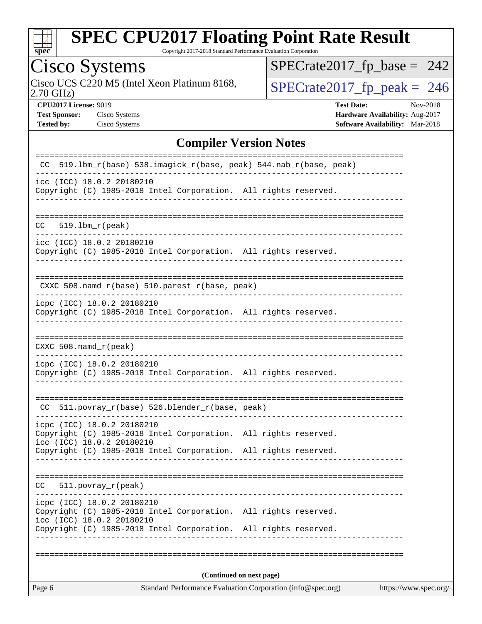

Copyright 2017-2018 Standard Performance Evaluation Corporation

Cisco Systems<br>Cisco UCS C220 M5 (Intel Xeon Platinum 8168, 2.70 GHz)

[SPECrate2017\\_fp\\_base =](http://www.spec.org/auto/cpu2017/Docs/result-fields.html#SPECrate2017fpbase) 242

 $SPECTate 2017_fp\_peak = 246$ 

**[CPU2017 License:](http://www.spec.org/auto/cpu2017/Docs/result-fields.html#CPU2017License)** 9019 **[Test Date:](http://www.spec.org/auto/cpu2017/Docs/result-fields.html#TestDate)** Nov-2018 **[Test Sponsor:](http://www.spec.org/auto/cpu2017/Docs/result-fields.html#TestSponsor)** Cisco Systems **[Hardware Availability:](http://www.spec.org/auto/cpu2017/Docs/result-fields.html#HardwareAvailability)** Aug-2017 **[Tested by:](http://www.spec.org/auto/cpu2017/Docs/result-fields.html#Testedby)** Cisco Systems **[Software Availability:](http://www.spec.org/auto/cpu2017/Docs/result-fields.html#SoftwareAvailability)** Mar-2018

#### **[Compiler Version Notes](http://www.spec.org/auto/cpu2017/Docs/result-fields.html#CompilerVersionNotes)**

| Standard Performance Evaluation Corporation (info@spec.org)<br>https://www.spec.org/<br>Page 6                                                                                    |
|-----------------------------------------------------------------------------------------------------------------------------------------------------------------------------------|
| (Continued on next page)                                                                                                                                                          |
|                                                                                                                                                                                   |
| Copyright (C) 1985-2018 Intel Corporation. All rights reserved.<br>icc (ICC) 18.0.2 20180210<br>Copyright (C) 1985-2018 Intel Corporation. All rights reserved.<br>-------------- |
| icpc (ICC) 18.0.2 20180210                                                                                                                                                        |
| $511. povray_r (peak)$<br>CC.                                                                                                                                                     |
| Copyright (C) 1985-2018 Intel Corporation. All rights reserved.                                                                                                                   |
| icpc (ICC) 18.0.2 20180210<br>Copyright (C) 1985-2018 Intel Corporation. All rights reserved.<br>icc (ICC) 18.0.2 20180210                                                        |
| CC 511.povray_r(base) 526.blender_r(base, peak)                                                                                                                                   |
| icpc (ICC) 18.0.2 20180210<br>Copyright (C) 1985-2018 Intel Corporation. All rights reserved.                                                                                     |
| $CXXC 508.namd_r (peak)$<br>------------------------------                                                                                                                        |
| Copyright (C) 1985-2018 Intel Corporation. All rights reserved.                                                                                                                   |
| icpc (ICC) 18.0.2 20180210                                                                                                                                                        |
| CXXC 508.namd_r(base) 510.parest_r(base, peak)                                                                                                                                    |
| icc (ICC) 18.0.2 20180210<br>Copyright (C) 1985-2018 Intel Corporation. All rights reserved.                                                                                      |
| $519.1bm_r(peak)$<br>CC.                                                                                                                                                          |
| icc (ICC) 18.0.2 20180210<br>Copyright (C) 1985-2018 Intel Corporation. All rights reserved.                                                                                      |
| ----------------------------<br>519.1bm_r(base) 538.imagick_r(base, peak) 544.nab_r(base, peak)<br>CC.                                                                            |
|                                                                                                                                                                                   |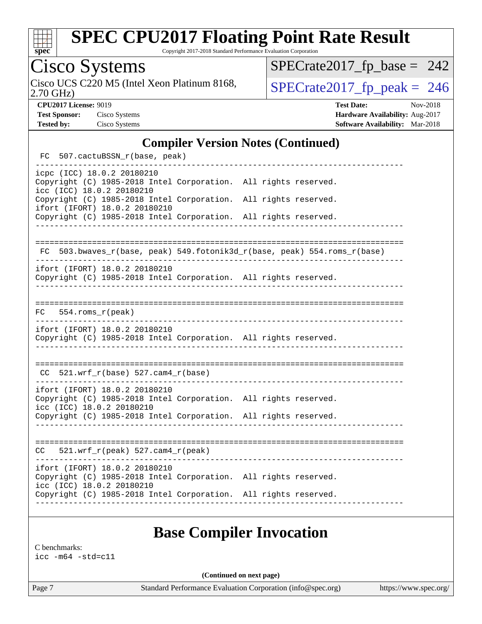

Copyright 2017-2018 Standard Performance Evaluation Corporation

## Cisco Systems

2.70 GHz) Cisco UCS C220 M5 (Intel Xeon Platinum 8168,  $\sqrt{\text{SPECrate2017\_fp\_peak}} = 246$ 

[SPECrate2017\\_fp\\_base =](http://www.spec.org/auto/cpu2017/Docs/result-fields.html#SPECrate2017fpbase) 242

**[CPU2017 License:](http://www.spec.org/auto/cpu2017/Docs/result-fields.html#CPU2017License)** 9019 **[Test Date:](http://www.spec.org/auto/cpu2017/Docs/result-fields.html#TestDate)** Nov-2018 **[Test Sponsor:](http://www.spec.org/auto/cpu2017/Docs/result-fields.html#TestSponsor)** Cisco Systems **[Hardware Availability:](http://www.spec.org/auto/cpu2017/Docs/result-fields.html#HardwareAvailability)** Aug-2017 **[Tested by:](http://www.spec.org/auto/cpu2017/Docs/result-fields.html#Testedby)** Cisco Systems **[Software Availability:](http://www.spec.org/auto/cpu2017/Docs/result-fields.html#SoftwareAvailability)** Mar-2018

#### **[Compiler Version Notes \(Continued\)](http://www.spec.org/auto/cpu2017/Docs/result-fields.html#CompilerVersionNotes)**

| FC 507.cactuBSSN_r(base, peak)                                                                                                                                                                |                                                                          |  |
|-----------------------------------------------------------------------------------------------------------------------------------------------------------------------------------------------|--------------------------------------------------------------------------|--|
| icpc (ICC) 18.0.2 20180210<br>Copyright (C) 1985-2018 Intel Corporation. All rights reserved.<br>icc (ICC) 18.0.2 20180210<br>Copyright (C) 1985-2018 Intel Corporation. All rights reserved. |                                                                          |  |
| ifort (IFORT) 18.0.2 20180210<br>Copyright (C) 1985-2018 Intel Corporation. All rights reserved.                                                                                              |                                                                          |  |
|                                                                                                                                                                                               | FC 503.bwaves_r(base, peak) 549.fotonik3d_r(base, peak) 554.roms_r(base) |  |
| ifort (IFORT) 18.0.2 20180210<br>Copyright (C) 1985-2018 Intel Corporation. All rights reserved.                                                                                              |                                                                          |  |
| $FC$ 554.roms $_r$ (peak)                                                                                                                                                                     |                                                                          |  |
| ifort (IFORT) 18.0.2 20180210<br>Copyright (C) 1985-2018 Intel Corporation. All rights reserved.                                                                                              |                                                                          |  |
| $CC$ 521.wrf_r(base) 527.cam4_r(base)                                                                                                                                                         |                                                                          |  |
| ifort (IFORT) 18.0.2 20180210<br>Copyright (C) 1985-2018 Intel Corporation. All rights reserved.<br>icc (ICC) 18.0.2 20180210                                                                 |                                                                          |  |
| Copyright (C) 1985-2018 Intel Corporation. All rights reserved.                                                                                                                               |                                                                          |  |
| $CC = 521.wrf_r(peak) 527.cam4_r(peak)$                                                                                                                                                       |                                                                          |  |
| ifort (IFORT) 18.0.2 20180210<br>Copyright (C) 1985-2018 Intel Corporation. All rights reserved.<br>icc (ICC) 18.0.2 20180210                                                                 |                                                                          |  |
| Copyright (C) 1985-2018 Intel Corporation. All rights reserved.                                                                                                                               |                                                                          |  |

#### **[Base Compiler Invocation](http://www.spec.org/auto/cpu2017/Docs/result-fields.html#BaseCompilerInvocation)**

[C benchmarks:](http://www.spec.org/auto/cpu2017/Docs/result-fields.html#Cbenchmarks) [icc -m64 -std=c11](http://www.spec.org/cpu2017/results/res2018q4/cpu2017-20181113-09775.flags.html#user_CCbase_intel_icc_64bit_c11_33ee0cdaae7deeeab2a9725423ba97205ce30f63b9926c2519791662299b76a0318f32ddfffdc46587804de3178b4f9328c46fa7c2b0cd779d7a61945c91cd35)

**(Continued on next page)**

Page 7 Standard Performance Evaluation Corporation [\(info@spec.org\)](mailto:info@spec.org) <https://www.spec.org/>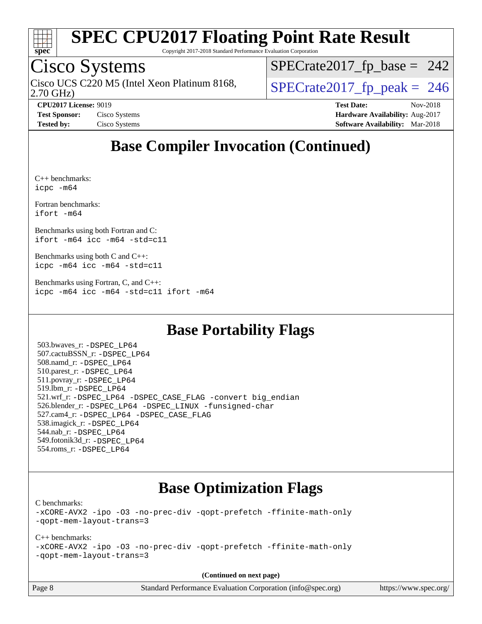

Copyright 2017-2018 Standard Performance Evaluation Corporation

## Cisco Systems

2.70 GHz) Cisco UCS C220 M5 (Intel Xeon Platinum 8168,  $\vert$ [SPECrate2017\\_fp\\_peak =](http://www.spec.org/auto/cpu2017/Docs/result-fields.html#SPECrate2017fppeak) 246

 $SPECTate2017_fp\_base = 242$ 

**[CPU2017 License:](http://www.spec.org/auto/cpu2017/Docs/result-fields.html#CPU2017License)** 9019 **[Test Date:](http://www.spec.org/auto/cpu2017/Docs/result-fields.html#TestDate)** Nov-2018 **[Test Sponsor:](http://www.spec.org/auto/cpu2017/Docs/result-fields.html#TestSponsor)** Cisco Systems **[Hardware Availability:](http://www.spec.org/auto/cpu2017/Docs/result-fields.html#HardwareAvailability)** Aug-2017 **[Tested by:](http://www.spec.org/auto/cpu2017/Docs/result-fields.html#Testedby)** Cisco Systems **[Software Availability:](http://www.spec.org/auto/cpu2017/Docs/result-fields.html#SoftwareAvailability)** Mar-2018

## **[Base Compiler Invocation \(Continued\)](http://www.spec.org/auto/cpu2017/Docs/result-fields.html#BaseCompilerInvocation)**

[C++ benchmarks](http://www.spec.org/auto/cpu2017/Docs/result-fields.html#CXXbenchmarks): [icpc -m64](http://www.spec.org/cpu2017/results/res2018q4/cpu2017-20181113-09775.flags.html#user_CXXbase_intel_icpc_64bit_4ecb2543ae3f1412ef961e0650ca070fec7b7afdcd6ed48761b84423119d1bf6bdf5cad15b44d48e7256388bc77273b966e5eb805aefd121eb22e9299b2ec9d9)

[Fortran benchmarks](http://www.spec.org/auto/cpu2017/Docs/result-fields.html#Fortranbenchmarks): [ifort -m64](http://www.spec.org/cpu2017/results/res2018q4/cpu2017-20181113-09775.flags.html#user_FCbase_intel_ifort_64bit_24f2bb282fbaeffd6157abe4f878425411749daecae9a33200eee2bee2fe76f3b89351d69a8130dd5949958ce389cf37ff59a95e7a40d588e8d3a57e0c3fd751)

[Benchmarks using both Fortran and C:](http://www.spec.org/auto/cpu2017/Docs/result-fields.html#BenchmarksusingbothFortranandC) [ifort -m64](http://www.spec.org/cpu2017/results/res2018q4/cpu2017-20181113-09775.flags.html#user_CC_FCbase_intel_ifort_64bit_24f2bb282fbaeffd6157abe4f878425411749daecae9a33200eee2bee2fe76f3b89351d69a8130dd5949958ce389cf37ff59a95e7a40d588e8d3a57e0c3fd751) [icc -m64 -std=c11](http://www.spec.org/cpu2017/results/res2018q4/cpu2017-20181113-09775.flags.html#user_CC_FCbase_intel_icc_64bit_c11_33ee0cdaae7deeeab2a9725423ba97205ce30f63b9926c2519791662299b76a0318f32ddfffdc46587804de3178b4f9328c46fa7c2b0cd779d7a61945c91cd35)

[Benchmarks using both C and C++](http://www.spec.org/auto/cpu2017/Docs/result-fields.html#BenchmarksusingbothCandCXX): [icpc -m64](http://www.spec.org/cpu2017/results/res2018q4/cpu2017-20181113-09775.flags.html#user_CC_CXXbase_intel_icpc_64bit_4ecb2543ae3f1412ef961e0650ca070fec7b7afdcd6ed48761b84423119d1bf6bdf5cad15b44d48e7256388bc77273b966e5eb805aefd121eb22e9299b2ec9d9) [icc -m64 -std=c11](http://www.spec.org/cpu2017/results/res2018q4/cpu2017-20181113-09775.flags.html#user_CC_CXXbase_intel_icc_64bit_c11_33ee0cdaae7deeeab2a9725423ba97205ce30f63b9926c2519791662299b76a0318f32ddfffdc46587804de3178b4f9328c46fa7c2b0cd779d7a61945c91cd35)

[Benchmarks using Fortran, C, and C++:](http://www.spec.org/auto/cpu2017/Docs/result-fields.html#BenchmarksusingFortranCandCXX) [icpc -m64](http://www.spec.org/cpu2017/results/res2018q4/cpu2017-20181113-09775.flags.html#user_CC_CXX_FCbase_intel_icpc_64bit_4ecb2543ae3f1412ef961e0650ca070fec7b7afdcd6ed48761b84423119d1bf6bdf5cad15b44d48e7256388bc77273b966e5eb805aefd121eb22e9299b2ec9d9) [icc -m64 -std=c11](http://www.spec.org/cpu2017/results/res2018q4/cpu2017-20181113-09775.flags.html#user_CC_CXX_FCbase_intel_icc_64bit_c11_33ee0cdaae7deeeab2a9725423ba97205ce30f63b9926c2519791662299b76a0318f32ddfffdc46587804de3178b4f9328c46fa7c2b0cd779d7a61945c91cd35) [ifort -m64](http://www.spec.org/cpu2017/results/res2018q4/cpu2017-20181113-09775.flags.html#user_CC_CXX_FCbase_intel_ifort_64bit_24f2bb282fbaeffd6157abe4f878425411749daecae9a33200eee2bee2fe76f3b89351d69a8130dd5949958ce389cf37ff59a95e7a40d588e8d3a57e0c3fd751)

### **[Base Portability Flags](http://www.spec.org/auto/cpu2017/Docs/result-fields.html#BasePortabilityFlags)**

 503.bwaves\_r: [-DSPEC\\_LP64](http://www.spec.org/cpu2017/results/res2018q4/cpu2017-20181113-09775.flags.html#suite_basePORTABILITY503_bwaves_r_DSPEC_LP64) 507.cactuBSSN\_r: [-DSPEC\\_LP64](http://www.spec.org/cpu2017/results/res2018q4/cpu2017-20181113-09775.flags.html#suite_basePORTABILITY507_cactuBSSN_r_DSPEC_LP64) 508.namd\_r: [-DSPEC\\_LP64](http://www.spec.org/cpu2017/results/res2018q4/cpu2017-20181113-09775.flags.html#suite_basePORTABILITY508_namd_r_DSPEC_LP64) 510.parest\_r: [-DSPEC\\_LP64](http://www.spec.org/cpu2017/results/res2018q4/cpu2017-20181113-09775.flags.html#suite_basePORTABILITY510_parest_r_DSPEC_LP64) 511.povray\_r: [-DSPEC\\_LP64](http://www.spec.org/cpu2017/results/res2018q4/cpu2017-20181113-09775.flags.html#suite_basePORTABILITY511_povray_r_DSPEC_LP64) 519.lbm\_r: [-DSPEC\\_LP64](http://www.spec.org/cpu2017/results/res2018q4/cpu2017-20181113-09775.flags.html#suite_basePORTABILITY519_lbm_r_DSPEC_LP64) 521.wrf\_r: [-DSPEC\\_LP64](http://www.spec.org/cpu2017/results/res2018q4/cpu2017-20181113-09775.flags.html#suite_basePORTABILITY521_wrf_r_DSPEC_LP64) [-DSPEC\\_CASE\\_FLAG](http://www.spec.org/cpu2017/results/res2018q4/cpu2017-20181113-09775.flags.html#b521.wrf_r_baseCPORTABILITY_DSPEC_CASE_FLAG) [-convert big\\_endian](http://www.spec.org/cpu2017/results/res2018q4/cpu2017-20181113-09775.flags.html#user_baseFPORTABILITY521_wrf_r_convert_big_endian_c3194028bc08c63ac5d04de18c48ce6d347e4e562e8892b8bdbdc0214820426deb8554edfa529a3fb25a586e65a3d812c835984020483e7e73212c4d31a38223) 526.blender\_r: [-DSPEC\\_LP64](http://www.spec.org/cpu2017/results/res2018q4/cpu2017-20181113-09775.flags.html#suite_basePORTABILITY526_blender_r_DSPEC_LP64) [-DSPEC\\_LINUX](http://www.spec.org/cpu2017/results/res2018q4/cpu2017-20181113-09775.flags.html#b526.blender_r_baseCPORTABILITY_DSPEC_LINUX) [-funsigned-char](http://www.spec.org/cpu2017/results/res2018q4/cpu2017-20181113-09775.flags.html#user_baseCPORTABILITY526_blender_r_force_uchar_40c60f00ab013830e2dd6774aeded3ff59883ba5a1fc5fc14077f794d777847726e2a5858cbc7672e36e1b067e7e5c1d9a74f7176df07886a243d7cc18edfe67) 527.cam4\_r: [-DSPEC\\_LP64](http://www.spec.org/cpu2017/results/res2018q4/cpu2017-20181113-09775.flags.html#suite_basePORTABILITY527_cam4_r_DSPEC_LP64) [-DSPEC\\_CASE\\_FLAG](http://www.spec.org/cpu2017/results/res2018q4/cpu2017-20181113-09775.flags.html#b527.cam4_r_baseCPORTABILITY_DSPEC_CASE_FLAG) 538.imagick\_r: [-DSPEC\\_LP64](http://www.spec.org/cpu2017/results/res2018q4/cpu2017-20181113-09775.flags.html#suite_basePORTABILITY538_imagick_r_DSPEC_LP64) 544.nab\_r: [-DSPEC\\_LP64](http://www.spec.org/cpu2017/results/res2018q4/cpu2017-20181113-09775.flags.html#suite_basePORTABILITY544_nab_r_DSPEC_LP64) 549.fotonik3d\_r: [-DSPEC\\_LP64](http://www.spec.org/cpu2017/results/res2018q4/cpu2017-20181113-09775.flags.html#suite_basePORTABILITY549_fotonik3d_r_DSPEC_LP64) 554.roms\_r: [-DSPEC\\_LP64](http://www.spec.org/cpu2017/results/res2018q4/cpu2017-20181113-09775.flags.html#suite_basePORTABILITY554_roms_r_DSPEC_LP64)

#### **[Base Optimization Flags](http://www.spec.org/auto/cpu2017/Docs/result-fields.html#BaseOptimizationFlags)**

[C benchmarks](http://www.spec.org/auto/cpu2017/Docs/result-fields.html#Cbenchmarks):

[-xCORE-AVX2](http://www.spec.org/cpu2017/results/res2018q4/cpu2017-20181113-09775.flags.html#user_CCbase_f-xCORE-AVX2) [-ipo](http://www.spec.org/cpu2017/results/res2018q4/cpu2017-20181113-09775.flags.html#user_CCbase_f-ipo) [-O3](http://www.spec.org/cpu2017/results/res2018q4/cpu2017-20181113-09775.flags.html#user_CCbase_f-O3) [-no-prec-div](http://www.spec.org/cpu2017/results/res2018q4/cpu2017-20181113-09775.flags.html#user_CCbase_f-no-prec-div) [-qopt-prefetch](http://www.spec.org/cpu2017/results/res2018q4/cpu2017-20181113-09775.flags.html#user_CCbase_f-qopt-prefetch) [-ffinite-math-only](http://www.spec.org/cpu2017/results/res2018q4/cpu2017-20181113-09775.flags.html#user_CCbase_f_finite_math_only_cb91587bd2077682c4b38af759c288ed7c732db004271a9512da14a4f8007909a5f1427ecbf1a0fb78ff2a814402c6114ac565ca162485bbcae155b5e4258871) [-qopt-mem-layout-trans=3](http://www.spec.org/cpu2017/results/res2018q4/cpu2017-20181113-09775.flags.html#user_CCbase_f-qopt-mem-layout-trans_de80db37974c74b1f0e20d883f0b675c88c3b01e9d123adea9b28688d64333345fb62bc4a798493513fdb68f60282f9a726aa07f478b2f7113531aecce732043)

#### [C++ benchmarks:](http://www.spec.org/auto/cpu2017/Docs/result-fields.html#CXXbenchmarks)

[-xCORE-AVX2](http://www.spec.org/cpu2017/results/res2018q4/cpu2017-20181113-09775.flags.html#user_CXXbase_f-xCORE-AVX2) [-ipo](http://www.spec.org/cpu2017/results/res2018q4/cpu2017-20181113-09775.flags.html#user_CXXbase_f-ipo) [-O3](http://www.spec.org/cpu2017/results/res2018q4/cpu2017-20181113-09775.flags.html#user_CXXbase_f-O3) [-no-prec-div](http://www.spec.org/cpu2017/results/res2018q4/cpu2017-20181113-09775.flags.html#user_CXXbase_f-no-prec-div) [-qopt-prefetch](http://www.spec.org/cpu2017/results/res2018q4/cpu2017-20181113-09775.flags.html#user_CXXbase_f-qopt-prefetch) [-ffinite-math-only](http://www.spec.org/cpu2017/results/res2018q4/cpu2017-20181113-09775.flags.html#user_CXXbase_f_finite_math_only_cb91587bd2077682c4b38af759c288ed7c732db004271a9512da14a4f8007909a5f1427ecbf1a0fb78ff2a814402c6114ac565ca162485bbcae155b5e4258871) [-qopt-mem-layout-trans=3](http://www.spec.org/cpu2017/results/res2018q4/cpu2017-20181113-09775.flags.html#user_CXXbase_f-qopt-mem-layout-trans_de80db37974c74b1f0e20d883f0b675c88c3b01e9d123adea9b28688d64333345fb62bc4a798493513fdb68f60282f9a726aa07f478b2f7113531aecce732043)

**(Continued on next page)**

Page 8 Standard Performance Evaluation Corporation [\(info@spec.org\)](mailto:info@spec.org) <https://www.spec.org/>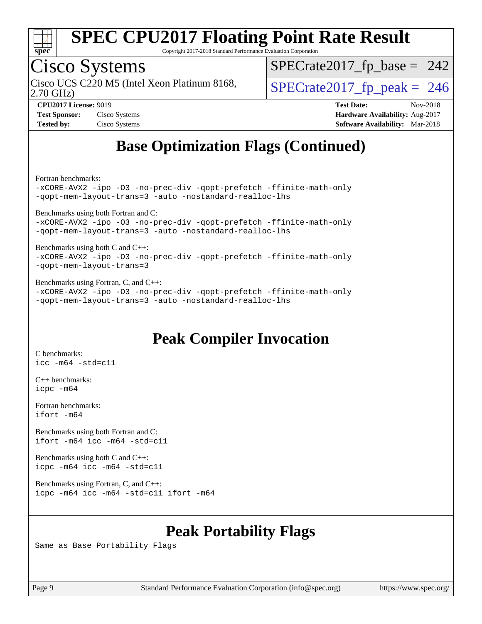

Copyright 2017-2018 Standard Performance Evaluation Corporation

## Cisco Systems

2.70 GHz) Cisco UCS C220 M5 (Intel Xeon Platinum 8168,  $\vert$ [SPECrate2017\\_fp\\_peak =](http://www.spec.org/auto/cpu2017/Docs/result-fields.html#SPECrate2017fppeak) 246

 $SPECTate2017_fp\_base = 242$ 

**[Test Sponsor:](http://www.spec.org/auto/cpu2017/Docs/result-fields.html#TestSponsor)** Cisco Systems **Cisco Systems [Hardware Availability:](http://www.spec.org/auto/cpu2017/Docs/result-fields.html#HardwareAvailability)** Aug-2017

**[CPU2017 License:](http://www.spec.org/auto/cpu2017/Docs/result-fields.html#CPU2017License)** 9019 **[Test Date:](http://www.spec.org/auto/cpu2017/Docs/result-fields.html#TestDate)** Nov-2018 **[Tested by:](http://www.spec.org/auto/cpu2017/Docs/result-fields.html#Testedby)** Cisco Systems **[Software Availability:](http://www.spec.org/auto/cpu2017/Docs/result-fields.html#SoftwareAvailability)** Mar-2018

## **[Base Optimization Flags \(Continued\)](http://www.spec.org/auto/cpu2017/Docs/result-fields.html#BaseOptimizationFlags)**

[Fortran benchmarks](http://www.spec.org/auto/cpu2017/Docs/result-fields.html#Fortranbenchmarks):

[-xCORE-AVX2](http://www.spec.org/cpu2017/results/res2018q4/cpu2017-20181113-09775.flags.html#user_FCbase_f-xCORE-AVX2) [-ipo](http://www.spec.org/cpu2017/results/res2018q4/cpu2017-20181113-09775.flags.html#user_FCbase_f-ipo) [-O3](http://www.spec.org/cpu2017/results/res2018q4/cpu2017-20181113-09775.flags.html#user_FCbase_f-O3) [-no-prec-div](http://www.spec.org/cpu2017/results/res2018q4/cpu2017-20181113-09775.flags.html#user_FCbase_f-no-prec-div) [-qopt-prefetch](http://www.spec.org/cpu2017/results/res2018q4/cpu2017-20181113-09775.flags.html#user_FCbase_f-qopt-prefetch) [-ffinite-math-only](http://www.spec.org/cpu2017/results/res2018q4/cpu2017-20181113-09775.flags.html#user_FCbase_f_finite_math_only_cb91587bd2077682c4b38af759c288ed7c732db004271a9512da14a4f8007909a5f1427ecbf1a0fb78ff2a814402c6114ac565ca162485bbcae155b5e4258871) [-qopt-mem-layout-trans=3](http://www.spec.org/cpu2017/results/res2018q4/cpu2017-20181113-09775.flags.html#user_FCbase_f-qopt-mem-layout-trans_de80db37974c74b1f0e20d883f0b675c88c3b01e9d123adea9b28688d64333345fb62bc4a798493513fdb68f60282f9a726aa07f478b2f7113531aecce732043) [-auto](http://www.spec.org/cpu2017/results/res2018q4/cpu2017-20181113-09775.flags.html#user_FCbase_f-auto) [-nostandard-realloc-lhs](http://www.spec.org/cpu2017/results/res2018q4/cpu2017-20181113-09775.flags.html#user_FCbase_f_2003_std_realloc_82b4557e90729c0f113870c07e44d33d6f5a304b4f63d4c15d2d0f1fab99f5daaed73bdb9275d9ae411527f28b936061aa8b9c8f2d63842963b95c9dd6426b8a)

[Benchmarks using both Fortran and C](http://www.spec.org/auto/cpu2017/Docs/result-fields.html#BenchmarksusingbothFortranandC):

[-xCORE-AVX2](http://www.spec.org/cpu2017/results/res2018q4/cpu2017-20181113-09775.flags.html#user_CC_FCbase_f-xCORE-AVX2) [-ipo](http://www.spec.org/cpu2017/results/res2018q4/cpu2017-20181113-09775.flags.html#user_CC_FCbase_f-ipo) [-O3](http://www.spec.org/cpu2017/results/res2018q4/cpu2017-20181113-09775.flags.html#user_CC_FCbase_f-O3) [-no-prec-div](http://www.spec.org/cpu2017/results/res2018q4/cpu2017-20181113-09775.flags.html#user_CC_FCbase_f-no-prec-div) [-qopt-prefetch](http://www.spec.org/cpu2017/results/res2018q4/cpu2017-20181113-09775.flags.html#user_CC_FCbase_f-qopt-prefetch) [-ffinite-math-only](http://www.spec.org/cpu2017/results/res2018q4/cpu2017-20181113-09775.flags.html#user_CC_FCbase_f_finite_math_only_cb91587bd2077682c4b38af759c288ed7c732db004271a9512da14a4f8007909a5f1427ecbf1a0fb78ff2a814402c6114ac565ca162485bbcae155b5e4258871) [-qopt-mem-layout-trans=3](http://www.spec.org/cpu2017/results/res2018q4/cpu2017-20181113-09775.flags.html#user_CC_FCbase_f-qopt-mem-layout-trans_de80db37974c74b1f0e20d883f0b675c88c3b01e9d123adea9b28688d64333345fb62bc4a798493513fdb68f60282f9a726aa07f478b2f7113531aecce732043) [-auto](http://www.spec.org/cpu2017/results/res2018q4/cpu2017-20181113-09775.flags.html#user_CC_FCbase_f-auto) [-nostandard-realloc-lhs](http://www.spec.org/cpu2017/results/res2018q4/cpu2017-20181113-09775.flags.html#user_CC_FCbase_f_2003_std_realloc_82b4557e90729c0f113870c07e44d33d6f5a304b4f63d4c15d2d0f1fab99f5daaed73bdb9275d9ae411527f28b936061aa8b9c8f2d63842963b95c9dd6426b8a)

[Benchmarks using both C and C++](http://www.spec.org/auto/cpu2017/Docs/result-fields.html#BenchmarksusingbothCandCXX): [-xCORE-AVX2](http://www.spec.org/cpu2017/results/res2018q4/cpu2017-20181113-09775.flags.html#user_CC_CXXbase_f-xCORE-AVX2) [-ipo](http://www.spec.org/cpu2017/results/res2018q4/cpu2017-20181113-09775.flags.html#user_CC_CXXbase_f-ipo) [-O3](http://www.spec.org/cpu2017/results/res2018q4/cpu2017-20181113-09775.flags.html#user_CC_CXXbase_f-O3) [-no-prec-div](http://www.spec.org/cpu2017/results/res2018q4/cpu2017-20181113-09775.flags.html#user_CC_CXXbase_f-no-prec-div) [-qopt-prefetch](http://www.spec.org/cpu2017/results/res2018q4/cpu2017-20181113-09775.flags.html#user_CC_CXXbase_f-qopt-prefetch) [-ffinite-math-only](http://www.spec.org/cpu2017/results/res2018q4/cpu2017-20181113-09775.flags.html#user_CC_CXXbase_f_finite_math_only_cb91587bd2077682c4b38af759c288ed7c732db004271a9512da14a4f8007909a5f1427ecbf1a0fb78ff2a814402c6114ac565ca162485bbcae155b5e4258871) [-qopt-mem-layout-trans=3](http://www.spec.org/cpu2017/results/res2018q4/cpu2017-20181113-09775.flags.html#user_CC_CXXbase_f-qopt-mem-layout-trans_de80db37974c74b1f0e20d883f0b675c88c3b01e9d123adea9b28688d64333345fb62bc4a798493513fdb68f60282f9a726aa07f478b2f7113531aecce732043)

[Benchmarks using Fortran, C, and C++:](http://www.spec.org/auto/cpu2017/Docs/result-fields.html#BenchmarksusingFortranCandCXX) [-xCORE-AVX2](http://www.spec.org/cpu2017/results/res2018q4/cpu2017-20181113-09775.flags.html#user_CC_CXX_FCbase_f-xCORE-AVX2) [-ipo](http://www.spec.org/cpu2017/results/res2018q4/cpu2017-20181113-09775.flags.html#user_CC_CXX_FCbase_f-ipo) [-O3](http://www.spec.org/cpu2017/results/res2018q4/cpu2017-20181113-09775.flags.html#user_CC_CXX_FCbase_f-O3) [-no-prec-div](http://www.spec.org/cpu2017/results/res2018q4/cpu2017-20181113-09775.flags.html#user_CC_CXX_FCbase_f-no-prec-div) [-qopt-prefetch](http://www.spec.org/cpu2017/results/res2018q4/cpu2017-20181113-09775.flags.html#user_CC_CXX_FCbase_f-qopt-prefetch) [-ffinite-math-only](http://www.spec.org/cpu2017/results/res2018q4/cpu2017-20181113-09775.flags.html#user_CC_CXX_FCbase_f_finite_math_only_cb91587bd2077682c4b38af759c288ed7c732db004271a9512da14a4f8007909a5f1427ecbf1a0fb78ff2a814402c6114ac565ca162485bbcae155b5e4258871) [-qopt-mem-layout-trans=3](http://www.spec.org/cpu2017/results/res2018q4/cpu2017-20181113-09775.flags.html#user_CC_CXX_FCbase_f-qopt-mem-layout-trans_de80db37974c74b1f0e20d883f0b675c88c3b01e9d123adea9b28688d64333345fb62bc4a798493513fdb68f60282f9a726aa07f478b2f7113531aecce732043) [-auto](http://www.spec.org/cpu2017/results/res2018q4/cpu2017-20181113-09775.flags.html#user_CC_CXX_FCbase_f-auto) [-nostandard-realloc-lhs](http://www.spec.org/cpu2017/results/res2018q4/cpu2017-20181113-09775.flags.html#user_CC_CXX_FCbase_f_2003_std_realloc_82b4557e90729c0f113870c07e44d33d6f5a304b4f63d4c15d2d0f1fab99f5daaed73bdb9275d9ae411527f28b936061aa8b9c8f2d63842963b95c9dd6426b8a)

#### **[Peak Compiler Invocation](http://www.spec.org/auto/cpu2017/Docs/result-fields.html#PeakCompilerInvocation)**

[C benchmarks](http://www.spec.org/auto/cpu2017/Docs/result-fields.html#Cbenchmarks): [icc -m64 -std=c11](http://www.spec.org/cpu2017/results/res2018q4/cpu2017-20181113-09775.flags.html#user_CCpeak_intel_icc_64bit_c11_33ee0cdaae7deeeab2a9725423ba97205ce30f63b9926c2519791662299b76a0318f32ddfffdc46587804de3178b4f9328c46fa7c2b0cd779d7a61945c91cd35)

[C++ benchmarks:](http://www.spec.org/auto/cpu2017/Docs/result-fields.html#CXXbenchmarks) [icpc -m64](http://www.spec.org/cpu2017/results/res2018q4/cpu2017-20181113-09775.flags.html#user_CXXpeak_intel_icpc_64bit_4ecb2543ae3f1412ef961e0650ca070fec7b7afdcd6ed48761b84423119d1bf6bdf5cad15b44d48e7256388bc77273b966e5eb805aefd121eb22e9299b2ec9d9)

[Fortran benchmarks](http://www.spec.org/auto/cpu2017/Docs/result-fields.html#Fortranbenchmarks): [ifort -m64](http://www.spec.org/cpu2017/results/res2018q4/cpu2017-20181113-09775.flags.html#user_FCpeak_intel_ifort_64bit_24f2bb282fbaeffd6157abe4f878425411749daecae9a33200eee2bee2fe76f3b89351d69a8130dd5949958ce389cf37ff59a95e7a40d588e8d3a57e0c3fd751)

[Benchmarks using both Fortran and C](http://www.spec.org/auto/cpu2017/Docs/result-fields.html#BenchmarksusingbothFortranandC): [ifort -m64](http://www.spec.org/cpu2017/results/res2018q4/cpu2017-20181113-09775.flags.html#user_CC_FCpeak_intel_ifort_64bit_24f2bb282fbaeffd6157abe4f878425411749daecae9a33200eee2bee2fe76f3b89351d69a8130dd5949958ce389cf37ff59a95e7a40d588e8d3a57e0c3fd751) [icc -m64 -std=c11](http://www.spec.org/cpu2017/results/res2018q4/cpu2017-20181113-09775.flags.html#user_CC_FCpeak_intel_icc_64bit_c11_33ee0cdaae7deeeab2a9725423ba97205ce30f63b9926c2519791662299b76a0318f32ddfffdc46587804de3178b4f9328c46fa7c2b0cd779d7a61945c91cd35)

[Benchmarks using both C and C++](http://www.spec.org/auto/cpu2017/Docs/result-fields.html#BenchmarksusingbothCandCXX): [icpc -m64](http://www.spec.org/cpu2017/results/res2018q4/cpu2017-20181113-09775.flags.html#user_CC_CXXpeak_intel_icpc_64bit_4ecb2543ae3f1412ef961e0650ca070fec7b7afdcd6ed48761b84423119d1bf6bdf5cad15b44d48e7256388bc77273b966e5eb805aefd121eb22e9299b2ec9d9) [icc -m64 -std=c11](http://www.spec.org/cpu2017/results/res2018q4/cpu2017-20181113-09775.flags.html#user_CC_CXXpeak_intel_icc_64bit_c11_33ee0cdaae7deeeab2a9725423ba97205ce30f63b9926c2519791662299b76a0318f32ddfffdc46587804de3178b4f9328c46fa7c2b0cd779d7a61945c91cd35)

[Benchmarks using Fortran, C, and C++:](http://www.spec.org/auto/cpu2017/Docs/result-fields.html#BenchmarksusingFortranCandCXX) [icpc -m64](http://www.spec.org/cpu2017/results/res2018q4/cpu2017-20181113-09775.flags.html#user_CC_CXX_FCpeak_intel_icpc_64bit_4ecb2543ae3f1412ef961e0650ca070fec7b7afdcd6ed48761b84423119d1bf6bdf5cad15b44d48e7256388bc77273b966e5eb805aefd121eb22e9299b2ec9d9) [icc -m64 -std=c11](http://www.spec.org/cpu2017/results/res2018q4/cpu2017-20181113-09775.flags.html#user_CC_CXX_FCpeak_intel_icc_64bit_c11_33ee0cdaae7deeeab2a9725423ba97205ce30f63b9926c2519791662299b76a0318f32ddfffdc46587804de3178b4f9328c46fa7c2b0cd779d7a61945c91cd35) [ifort -m64](http://www.spec.org/cpu2017/results/res2018q4/cpu2017-20181113-09775.flags.html#user_CC_CXX_FCpeak_intel_ifort_64bit_24f2bb282fbaeffd6157abe4f878425411749daecae9a33200eee2bee2fe76f3b89351d69a8130dd5949958ce389cf37ff59a95e7a40d588e8d3a57e0c3fd751)

### **[Peak Portability Flags](http://www.spec.org/auto/cpu2017/Docs/result-fields.html#PeakPortabilityFlags)**

Same as Base Portability Flags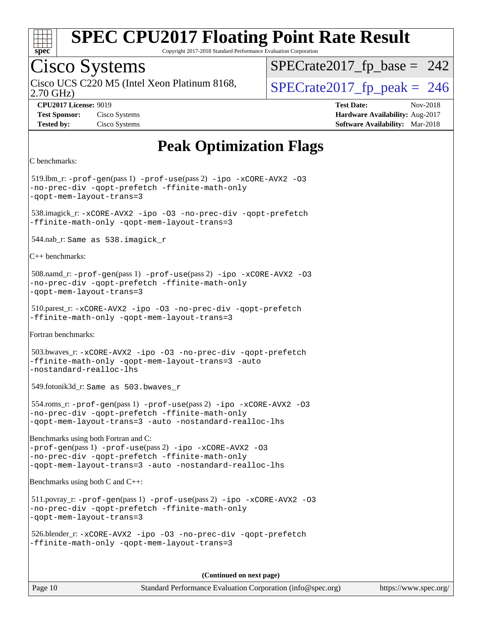

Copyright 2017-2018 Standard Performance Evaluation Corporation

# Cisco Systems

Cisco UCS C220 M5 (Intel Xeon Platinum 8168,  $\vert$ [SPECrate2017\\_fp\\_peak =](http://www.spec.org/auto/cpu2017/Docs/result-fields.html#SPECrate2017fppeak) 246

 $SPECTate2017_fp\_base = 242$ 

2.70 GHz)

**[Tested by:](http://www.spec.org/auto/cpu2017/Docs/result-fields.html#Testedby)** Cisco Systems **[Software Availability:](http://www.spec.org/auto/cpu2017/Docs/result-fields.html#SoftwareAvailability)** Mar-2018

**[CPU2017 License:](http://www.spec.org/auto/cpu2017/Docs/result-fields.html#CPU2017License)** 9019 **[Test Date:](http://www.spec.org/auto/cpu2017/Docs/result-fields.html#TestDate)** Nov-2018 **[Test Sponsor:](http://www.spec.org/auto/cpu2017/Docs/result-fields.html#TestSponsor)** Cisco Systems **[Hardware Availability:](http://www.spec.org/auto/cpu2017/Docs/result-fields.html#HardwareAvailability)** Aug-2017

## **[Peak Optimization Flags](http://www.spec.org/auto/cpu2017/Docs/result-fields.html#PeakOptimizationFlags)**

```
C benchmarks:
```
519.lbm\_r:  $-prof-qen(pass 1) -prof-use(pass 2) -ipo -xCORE-AVX2 -O3$  $-prof-qen(pass 1) -prof-use(pass 2) -ipo -xCORE-AVX2 -O3$  $-prof-qen(pass 1) -prof-use(pass 2) -ipo -xCORE-AVX2 -O3$  $-prof-qen(pass 1) -prof-use(pass 2) -ipo -xCORE-AVX2 -O3$  $-prof-qen(pass 1) -prof-use(pass 2) -ipo -xCORE-AVX2 -O3$  $-prof-qen(pass 1) -prof-use(pass 2) -ipo -xCORE-AVX2 -O3$  $-prof-qen(pass 1) -prof-use(pass 2) -ipo -xCORE-AVX2 -O3$  $-prof-qen(pass 1) -prof-use(pass 2) -ipo -xCORE-AVX2 -O3$ [-no-prec-div](http://www.spec.org/cpu2017/results/res2018q4/cpu2017-20181113-09775.flags.html#user_peakPASS1_COPTIMIZEPASS2_COPTIMIZE519_lbm_r_f-no-prec-div) [-qopt-prefetch](http://www.spec.org/cpu2017/results/res2018q4/cpu2017-20181113-09775.flags.html#user_peakPASS1_COPTIMIZEPASS2_COPTIMIZE519_lbm_r_f-qopt-prefetch) [-ffinite-math-only](http://www.spec.org/cpu2017/results/res2018q4/cpu2017-20181113-09775.flags.html#user_peakPASS1_COPTIMIZEPASS2_COPTIMIZE519_lbm_r_f_finite_math_only_cb91587bd2077682c4b38af759c288ed7c732db004271a9512da14a4f8007909a5f1427ecbf1a0fb78ff2a814402c6114ac565ca162485bbcae155b5e4258871) [-qopt-mem-layout-trans=3](http://www.spec.org/cpu2017/results/res2018q4/cpu2017-20181113-09775.flags.html#user_peakPASS1_COPTIMIZEPASS2_COPTIMIZE519_lbm_r_f-qopt-mem-layout-trans_de80db37974c74b1f0e20d883f0b675c88c3b01e9d123adea9b28688d64333345fb62bc4a798493513fdb68f60282f9a726aa07f478b2f7113531aecce732043) 538.imagick\_r: [-xCORE-AVX2](http://www.spec.org/cpu2017/results/res2018q4/cpu2017-20181113-09775.flags.html#user_peakCOPTIMIZE538_imagick_r_f-xCORE-AVX2) [-ipo](http://www.spec.org/cpu2017/results/res2018q4/cpu2017-20181113-09775.flags.html#user_peakCOPTIMIZE538_imagick_r_f-ipo) [-O3](http://www.spec.org/cpu2017/results/res2018q4/cpu2017-20181113-09775.flags.html#user_peakCOPTIMIZE538_imagick_r_f-O3) [-no-prec-div](http://www.spec.org/cpu2017/results/res2018q4/cpu2017-20181113-09775.flags.html#user_peakCOPTIMIZE538_imagick_r_f-no-prec-div) [-qopt-prefetch](http://www.spec.org/cpu2017/results/res2018q4/cpu2017-20181113-09775.flags.html#user_peakCOPTIMIZE538_imagick_r_f-qopt-prefetch) [-ffinite-math-only](http://www.spec.org/cpu2017/results/res2018q4/cpu2017-20181113-09775.flags.html#user_peakCOPTIMIZE538_imagick_r_f_finite_math_only_cb91587bd2077682c4b38af759c288ed7c732db004271a9512da14a4f8007909a5f1427ecbf1a0fb78ff2a814402c6114ac565ca162485bbcae155b5e4258871) [-qopt-mem-layout-trans=3](http://www.spec.org/cpu2017/results/res2018q4/cpu2017-20181113-09775.flags.html#user_peakCOPTIMIZE538_imagick_r_f-qopt-mem-layout-trans_de80db37974c74b1f0e20d883f0b675c88c3b01e9d123adea9b28688d64333345fb62bc4a798493513fdb68f60282f9a726aa07f478b2f7113531aecce732043) 544.nab\_r: Same as 538.imagick\_r [C++ benchmarks](http://www.spec.org/auto/cpu2017/Docs/result-fields.html#CXXbenchmarks): 508.namd\_r: [-prof-gen](http://www.spec.org/cpu2017/results/res2018q4/cpu2017-20181113-09775.flags.html#user_peakPASS1_CXXFLAGSPASS1_LDFLAGS508_namd_r_prof_gen_5aa4926d6013ddb2a31985c654b3eb18169fc0c6952a63635c234f711e6e63dd76e94ad52365559451ec499a2cdb89e4dc58ba4c67ef54ca681ffbe1461d6b36)(pass 1) [-prof-use](http://www.spec.org/cpu2017/results/res2018q4/cpu2017-20181113-09775.flags.html#user_peakPASS2_CXXFLAGSPASS2_LDFLAGS508_namd_r_prof_use_1a21ceae95f36a2b53c25747139a6c16ca95bd9def2a207b4f0849963b97e94f5260e30a0c64f4bb623698870e679ca08317ef8150905d41bd88c6f78df73f19)(pass 2) [-ipo](http://www.spec.org/cpu2017/results/res2018q4/cpu2017-20181113-09775.flags.html#user_peakPASS1_CXXOPTIMIZEPASS2_CXXOPTIMIZE508_namd_r_f-ipo) [-xCORE-AVX2](http://www.spec.org/cpu2017/results/res2018q4/cpu2017-20181113-09775.flags.html#user_peakPASS2_CXXOPTIMIZE508_namd_r_f-xCORE-AVX2) [-O3](http://www.spec.org/cpu2017/results/res2018q4/cpu2017-20181113-09775.flags.html#user_peakPASS1_CXXOPTIMIZEPASS2_CXXOPTIMIZE508_namd_r_f-O3) [-no-prec-div](http://www.spec.org/cpu2017/results/res2018q4/cpu2017-20181113-09775.flags.html#user_peakPASS1_CXXOPTIMIZEPASS2_CXXOPTIMIZE508_namd_r_f-no-prec-div) [-qopt-prefetch](http://www.spec.org/cpu2017/results/res2018q4/cpu2017-20181113-09775.flags.html#user_peakPASS1_CXXOPTIMIZEPASS2_CXXOPTIMIZE508_namd_r_f-qopt-prefetch) [-ffinite-math-only](http://www.spec.org/cpu2017/results/res2018q4/cpu2017-20181113-09775.flags.html#user_peakPASS1_CXXOPTIMIZEPASS2_CXXOPTIMIZE508_namd_r_f_finite_math_only_cb91587bd2077682c4b38af759c288ed7c732db004271a9512da14a4f8007909a5f1427ecbf1a0fb78ff2a814402c6114ac565ca162485bbcae155b5e4258871) [-qopt-mem-layout-trans=3](http://www.spec.org/cpu2017/results/res2018q4/cpu2017-20181113-09775.flags.html#user_peakPASS1_CXXOPTIMIZEPASS2_CXXOPTIMIZE508_namd_r_f-qopt-mem-layout-trans_de80db37974c74b1f0e20d883f0b675c88c3b01e9d123adea9b28688d64333345fb62bc4a798493513fdb68f60282f9a726aa07f478b2f7113531aecce732043) 510.parest\_r: [-xCORE-AVX2](http://www.spec.org/cpu2017/results/res2018q4/cpu2017-20181113-09775.flags.html#user_peakCXXOPTIMIZE510_parest_r_f-xCORE-AVX2) [-ipo](http://www.spec.org/cpu2017/results/res2018q4/cpu2017-20181113-09775.flags.html#user_peakCXXOPTIMIZE510_parest_r_f-ipo) [-O3](http://www.spec.org/cpu2017/results/res2018q4/cpu2017-20181113-09775.flags.html#user_peakCXXOPTIMIZE510_parest_r_f-O3) [-no-prec-div](http://www.spec.org/cpu2017/results/res2018q4/cpu2017-20181113-09775.flags.html#user_peakCXXOPTIMIZE510_parest_r_f-no-prec-div) [-qopt-prefetch](http://www.spec.org/cpu2017/results/res2018q4/cpu2017-20181113-09775.flags.html#user_peakCXXOPTIMIZE510_parest_r_f-qopt-prefetch) [-ffinite-math-only](http://www.spec.org/cpu2017/results/res2018q4/cpu2017-20181113-09775.flags.html#user_peakCXXOPTIMIZE510_parest_r_f_finite_math_only_cb91587bd2077682c4b38af759c288ed7c732db004271a9512da14a4f8007909a5f1427ecbf1a0fb78ff2a814402c6114ac565ca162485bbcae155b5e4258871) [-qopt-mem-layout-trans=3](http://www.spec.org/cpu2017/results/res2018q4/cpu2017-20181113-09775.flags.html#user_peakCXXOPTIMIZE510_parest_r_f-qopt-mem-layout-trans_de80db37974c74b1f0e20d883f0b675c88c3b01e9d123adea9b28688d64333345fb62bc4a798493513fdb68f60282f9a726aa07f478b2f7113531aecce732043) [Fortran benchmarks:](http://www.spec.org/auto/cpu2017/Docs/result-fields.html#Fortranbenchmarks) 503.bwaves\_r: [-xCORE-AVX2](http://www.spec.org/cpu2017/results/res2018q4/cpu2017-20181113-09775.flags.html#user_peakFOPTIMIZE503_bwaves_r_f-xCORE-AVX2) [-ipo](http://www.spec.org/cpu2017/results/res2018q4/cpu2017-20181113-09775.flags.html#user_peakFOPTIMIZE503_bwaves_r_f-ipo) [-O3](http://www.spec.org/cpu2017/results/res2018q4/cpu2017-20181113-09775.flags.html#user_peakFOPTIMIZE503_bwaves_r_f-O3) [-no-prec-div](http://www.spec.org/cpu2017/results/res2018q4/cpu2017-20181113-09775.flags.html#user_peakFOPTIMIZE503_bwaves_r_f-no-prec-div) [-qopt-prefetch](http://www.spec.org/cpu2017/results/res2018q4/cpu2017-20181113-09775.flags.html#user_peakFOPTIMIZE503_bwaves_r_f-qopt-prefetch) [-ffinite-math-only](http://www.spec.org/cpu2017/results/res2018q4/cpu2017-20181113-09775.flags.html#user_peakFOPTIMIZE503_bwaves_r_f_finite_math_only_cb91587bd2077682c4b38af759c288ed7c732db004271a9512da14a4f8007909a5f1427ecbf1a0fb78ff2a814402c6114ac565ca162485bbcae155b5e4258871) [-qopt-mem-layout-trans=3](http://www.spec.org/cpu2017/results/res2018q4/cpu2017-20181113-09775.flags.html#user_peakFOPTIMIZE503_bwaves_r_f-qopt-mem-layout-trans_de80db37974c74b1f0e20d883f0b675c88c3b01e9d123adea9b28688d64333345fb62bc4a798493513fdb68f60282f9a726aa07f478b2f7113531aecce732043) [-auto](http://www.spec.org/cpu2017/results/res2018q4/cpu2017-20181113-09775.flags.html#user_peakFOPTIMIZE503_bwaves_r_f-auto) [-nostandard-realloc-lhs](http://www.spec.org/cpu2017/results/res2018q4/cpu2017-20181113-09775.flags.html#user_peakEXTRA_FOPTIMIZE503_bwaves_r_f_2003_std_realloc_82b4557e90729c0f113870c07e44d33d6f5a304b4f63d4c15d2d0f1fab99f5daaed73bdb9275d9ae411527f28b936061aa8b9c8f2d63842963b95c9dd6426b8a) 549.fotonik3d\_r: Same as 503.bwaves\_r 554.roms\_r: [-prof-gen](http://www.spec.org/cpu2017/results/res2018q4/cpu2017-20181113-09775.flags.html#user_peakPASS1_FFLAGSPASS1_LDFLAGS554_roms_r_prof_gen_5aa4926d6013ddb2a31985c654b3eb18169fc0c6952a63635c234f711e6e63dd76e94ad52365559451ec499a2cdb89e4dc58ba4c67ef54ca681ffbe1461d6b36)(pass 1) [-prof-use](http://www.spec.org/cpu2017/results/res2018q4/cpu2017-20181113-09775.flags.html#user_peakPASS2_FFLAGSPASS2_LDFLAGS554_roms_r_prof_use_1a21ceae95f36a2b53c25747139a6c16ca95bd9def2a207b4f0849963b97e94f5260e30a0c64f4bb623698870e679ca08317ef8150905d41bd88c6f78df73f19)(pass 2) [-ipo](http://www.spec.org/cpu2017/results/res2018q4/cpu2017-20181113-09775.flags.html#user_peakPASS1_FOPTIMIZEPASS2_FOPTIMIZE554_roms_r_f-ipo) [-xCORE-AVX2](http://www.spec.org/cpu2017/results/res2018q4/cpu2017-20181113-09775.flags.html#user_peakPASS2_FOPTIMIZE554_roms_r_f-xCORE-AVX2) [-O3](http://www.spec.org/cpu2017/results/res2018q4/cpu2017-20181113-09775.flags.html#user_peakPASS1_FOPTIMIZEPASS2_FOPTIMIZE554_roms_r_f-O3) [-no-prec-div](http://www.spec.org/cpu2017/results/res2018q4/cpu2017-20181113-09775.flags.html#user_peakPASS1_FOPTIMIZEPASS2_FOPTIMIZE554_roms_r_f-no-prec-div) [-qopt-prefetch](http://www.spec.org/cpu2017/results/res2018q4/cpu2017-20181113-09775.flags.html#user_peakPASS1_FOPTIMIZEPASS2_FOPTIMIZE554_roms_r_f-qopt-prefetch) [-ffinite-math-only](http://www.spec.org/cpu2017/results/res2018q4/cpu2017-20181113-09775.flags.html#user_peakPASS1_FOPTIMIZEPASS2_FOPTIMIZE554_roms_r_f_finite_math_only_cb91587bd2077682c4b38af759c288ed7c732db004271a9512da14a4f8007909a5f1427ecbf1a0fb78ff2a814402c6114ac565ca162485bbcae155b5e4258871) [-qopt-mem-layout-trans=3](http://www.spec.org/cpu2017/results/res2018q4/cpu2017-20181113-09775.flags.html#user_peakPASS1_FOPTIMIZEPASS2_FOPTIMIZE554_roms_r_f-qopt-mem-layout-trans_de80db37974c74b1f0e20d883f0b675c88c3b01e9d123adea9b28688d64333345fb62bc4a798493513fdb68f60282f9a726aa07f478b2f7113531aecce732043) [-auto](http://www.spec.org/cpu2017/results/res2018q4/cpu2017-20181113-09775.flags.html#user_peakPASS2_FOPTIMIZE554_roms_r_f-auto) [-nostandard-realloc-lhs](http://www.spec.org/cpu2017/results/res2018q4/cpu2017-20181113-09775.flags.html#user_peakEXTRA_FOPTIMIZE554_roms_r_f_2003_std_realloc_82b4557e90729c0f113870c07e44d33d6f5a304b4f63d4c15d2d0f1fab99f5daaed73bdb9275d9ae411527f28b936061aa8b9c8f2d63842963b95c9dd6426b8a) [Benchmarks using both Fortran and C](http://www.spec.org/auto/cpu2017/Docs/result-fields.html#BenchmarksusingbothFortranandC): [-prof-gen](http://www.spec.org/cpu2017/results/res2018q4/cpu2017-20181113-09775.flags.html#user_CC_FCpeak_prof_gen_5aa4926d6013ddb2a31985c654b3eb18169fc0c6952a63635c234f711e6e63dd76e94ad52365559451ec499a2cdb89e4dc58ba4c67ef54ca681ffbe1461d6b36)(pass 1) [-prof-use](http://www.spec.org/cpu2017/results/res2018q4/cpu2017-20181113-09775.flags.html#user_CC_FCpeak_prof_use_1a21ceae95f36a2b53c25747139a6c16ca95bd9def2a207b4f0849963b97e94f5260e30a0c64f4bb623698870e679ca08317ef8150905d41bd88c6f78df73f19)(pass 2) [-ipo](http://www.spec.org/cpu2017/results/res2018q4/cpu2017-20181113-09775.flags.html#user_CC_FCpeak_f-ipo) [-xCORE-AVX2](http://www.spec.org/cpu2017/results/res2018q4/cpu2017-20181113-09775.flags.html#user_CC_FCpeak_f-xCORE-AVX2) [-O3](http://www.spec.org/cpu2017/results/res2018q4/cpu2017-20181113-09775.flags.html#user_CC_FCpeak_f-O3) [-no-prec-div](http://www.spec.org/cpu2017/results/res2018q4/cpu2017-20181113-09775.flags.html#user_CC_FCpeak_f-no-prec-div) [-qopt-prefetch](http://www.spec.org/cpu2017/results/res2018q4/cpu2017-20181113-09775.flags.html#user_CC_FCpeak_f-qopt-prefetch) [-ffinite-math-only](http://www.spec.org/cpu2017/results/res2018q4/cpu2017-20181113-09775.flags.html#user_CC_FCpeak_f_finite_math_only_cb91587bd2077682c4b38af759c288ed7c732db004271a9512da14a4f8007909a5f1427ecbf1a0fb78ff2a814402c6114ac565ca162485bbcae155b5e4258871) [-qopt-mem-layout-trans=3](http://www.spec.org/cpu2017/results/res2018q4/cpu2017-20181113-09775.flags.html#user_CC_FCpeak_f-qopt-mem-layout-trans_de80db37974c74b1f0e20d883f0b675c88c3b01e9d123adea9b28688d64333345fb62bc4a798493513fdb68f60282f9a726aa07f478b2f7113531aecce732043) [-auto](http://www.spec.org/cpu2017/results/res2018q4/cpu2017-20181113-09775.flags.html#user_CC_FCpeak_f-auto) [-nostandard-realloc-lhs](http://www.spec.org/cpu2017/results/res2018q4/cpu2017-20181113-09775.flags.html#user_CC_FCpeak_f_2003_std_realloc_82b4557e90729c0f113870c07e44d33d6f5a304b4f63d4c15d2d0f1fab99f5daaed73bdb9275d9ae411527f28b936061aa8b9c8f2d63842963b95c9dd6426b8a) [Benchmarks using both C and C++:](http://www.spec.org/auto/cpu2017/Docs/result-fields.html#BenchmarksusingbothCandCXX) 511.povray\_r: [-prof-gen](http://www.spec.org/cpu2017/results/res2018q4/cpu2017-20181113-09775.flags.html#user_peakPASS1_CFLAGSPASS1_CXXFLAGSPASS1_LDFLAGS511_povray_r_prof_gen_5aa4926d6013ddb2a31985c654b3eb18169fc0c6952a63635c234f711e6e63dd76e94ad52365559451ec499a2cdb89e4dc58ba4c67ef54ca681ffbe1461d6b36)(pass 1) [-prof-use](http://www.spec.org/cpu2017/results/res2018q4/cpu2017-20181113-09775.flags.html#user_peakPASS2_CFLAGSPASS2_CXXFLAGSPASS2_LDFLAGS511_povray_r_prof_use_1a21ceae95f36a2b53c25747139a6c16ca95bd9def2a207b4f0849963b97e94f5260e30a0c64f4bb623698870e679ca08317ef8150905d41bd88c6f78df73f19)(pass 2) [-ipo](http://www.spec.org/cpu2017/results/res2018q4/cpu2017-20181113-09775.flags.html#user_peakPASS1_COPTIMIZEPASS1_CXXOPTIMIZEPASS2_COPTIMIZEPASS2_CXXOPTIMIZE511_povray_r_f-ipo) [-xCORE-AVX2](http://www.spec.org/cpu2017/results/res2018q4/cpu2017-20181113-09775.flags.html#user_peakPASS2_COPTIMIZEPASS2_CXXOPTIMIZE511_povray_r_f-xCORE-AVX2) [-O3](http://www.spec.org/cpu2017/results/res2018q4/cpu2017-20181113-09775.flags.html#user_peakPASS1_COPTIMIZEPASS1_CXXOPTIMIZEPASS2_COPTIMIZEPASS2_CXXOPTIMIZE511_povray_r_f-O3) [-no-prec-div](http://www.spec.org/cpu2017/results/res2018q4/cpu2017-20181113-09775.flags.html#user_peakPASS1_COPTIMIZEPASS1_CXXOPTIMIZEPASS2_COPTIMIZEPASS2_CXXOPTIMIZE511_povray_r_f-no-prec-div) [-qopt-prefetch](http://www.spec.org/cpu2017/results/res2018q4/cpu2017-20181113-09775.flags.html#user_peakPASS1_COPTIMIZEPASS1_CXXOPTIMIZEPASS2_COPTIMIZEPASS2_CXXOPTIMIZE511_povray_r_f-qopt-prefetch) [-ffinite-math-only](http://www.spec.org/cpu2017/results/res2018q4/cpu2017-20181113-09775.flags.html#user_peakPASS1_COPTIMIZEPASS1_CXXOPTIMIZEPASS2_COPTIMIZEPASS2_CXXOPTIMIZE511_povray_r_f_finite_math_only_cb91587bd2077682c4b38af759c288ed7c732db004271a9512da14a4f8007909a5f1427ecbf1a0fb78ff2a814402c6114ac565ca162485bbcae155b5e4258871) [-qopt-mem-layout-trans=3](http://www.spec.org/cpu2017/results/res2018q4/cpu2017-20181113-09775.flags.html#user_peakPASS1_COPTIMIZEPASS1_CXXOPTIMIZEPASS2_COPTIMIZEPASS2_CXXOPTIMIZE511_povray_r_f-qopt-mem-layout-trans_de80db37974c74b1f0e20d883f0b675c88c3b01e9d123adea9b28688d64333345fb62bc4a798493513fdb68f60282f9a726aa07f478b2f7113531aecce732043) 526.blender\_r: [-xCORE-AVX2](http://www.spec.org/cpu2017/results/res2018q4/cpu2017-20181113-09775.flags.html#user_peakCOPTIMIZECXXOPTIMIZE526_blender_r_f-xCORE-AVX2) [-ipo](http://www.spec.org/cpu2017/results/res2018q4/cpu2017-20181113-09775.flags.html#user_peakCOPTIMIZECXXOPTIMIZE526_blender_r_f-ipo) [-O3](http://www.spec.org/cpu2017/results/res2018q4/cpu2017-20181113-09775.flags.html#user_peakCOPTIMIZECXXOPTIMIZE526_blender_r_f-O3) [-no-prec-div](http://www.spec.org/cpu2017/results/res2018q4/cpu2017-20181113-09775.flags.html#user_peakCOPTIMIZECXXOPTIMIZE526_blender_r_f-no-prec-div) [-qopt-prefetch](http://www.spec.org/cpu2017/results/res2018q4/cpu2017-20181113-09775.flags.html#user_peakCOPTIMIZECXXOPTIMIZE526_blender_r_f-qopt-prefetch) [-ffinite-math-only](http://www.spec.org/cpu2017/results/res2018q4/cpu2017-20181113-09775.flags.html#user_peakCOPTIMIZECXXOPTIMIZE526_blender_r_f_finite_math_only_cb91587bd2077682c4b38af759c288ed7c732db004271a9512da14a4f8007909a5f1427ecbf1a0fb78ff2a814402c6114ac565ca162485bbcae155b5e4258871) [-qopt-mem-layout-trans=3](http://www.spec.org/cpu2017/results/res2018q4/cpu2017-20181113-09775.flags.html#user_peakCOPTIMIZECXXOPTIMIZE526_blender_r_f-qopt-mem-layout-trans_de80db37974c74b1f0e20d883f0b675c88c3b01e9d123adea9b28688d64333345fb62bc4a798493513fdb68f60282f9a726aa07f478b2f7113531aecce732043) **(Continued on next page)**